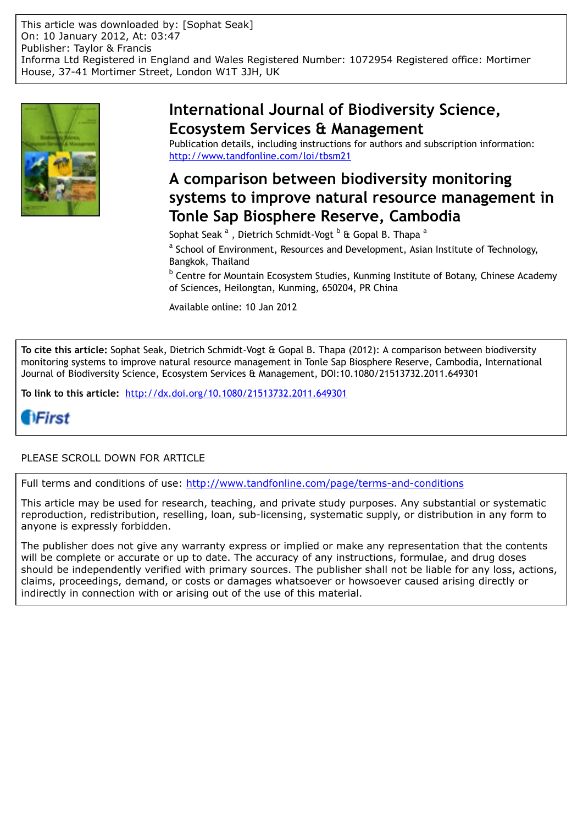

# **International Journal of Biodiversity Science, Ecosystem Services & Management**

Publication details, including instructions for authors and subscription information: <http://www.tandfonline.com/loi/tbsm21>

# **A comparison between biodiversity monitoring systems to improve natural resource management in Tonle Sap Biosphere Reserve, Cambodia**

Sophat Seak  $^{\rm a}$  , Dietrich Schmidt-Vogt  $^{\rm b}$  & Gopal B. Thapa  $^{\rm a}$ 

<sup>a</sup> School of Environment, Resources and Development, Asian Institute of Technology, Bangkok, Thailand

<sup>b</sup> Centre for Mountain Ecosystem Studies, Kunming Institute of Botany, Chinese Academy of Sciences, Heilongtan, Kunming, 650204, PR China

Available online: 10 Jan 2012

**To cite this article:** Sophat Seak, Dietrich Schmidt-Vogt & Gopal B. Thapa (2012): A comparison between biodiversity monitoring systems to improve natural resource management in Tonle Sap Biosphere Reserve, Cambodia, International Journal of Biodiversity Science, Ecosystem Services & Management, DOI:10.1080/21513732.2011.649301

**To link to this article:** <http://dx.doi.org/10.1080/21513732.2011.649301>

**HFirst** 

## PLEASE SCROLL DOWN FOR ARTICLE

Full terms and conditions of use:<http://www.tandfonline.com/page/terms-and-conditions>

This article may be used for research, teaching, and private study purposes. Any substantial or systematic reproduction, redistribution, reselling, loan, sub-licensing, systematic supply, or distribution in any form to anyone is expressly forbidden.

The publisher does not give any warranty express or implied or make any representation that the contents will be complete or accurate or up to date. The accuracy of any instructions, formulae, and drug doses should be independently verified with primary sources. The publisher shall not be liable for any loss, actions, claims, proceedings, demand, or costs or damages whatsoever or howsoever caused arising directly or indirectly in connection with or arising out of the use of this material.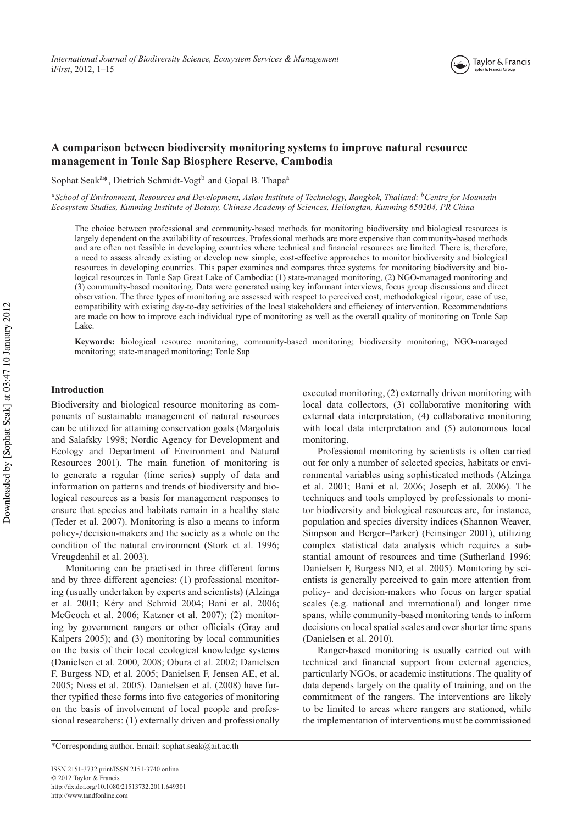

## **A comparison between biodiversity monitoring systems to improve natural resource management in Tonle Sap Biosphere Reserve, Cambodia**

Sophat Seak<sup>a\*</sup>, Dietrich Schmidt-Vogt<sup>b</sup> and Gopal B. Thapa<sup>a</sup>

*aSchool of Environment, Resources and Development, Asian Institute of Technology, Bangkok, Thailand; bCentre for Mountain Ecosystem Studies, Kunming Institute of Botany, Chinese Academy of Sciences, Heilongtan, Kunming 650204, PR China*

The choice between professional and community-based methods for monitoring biodiversity and biological resources is largely dependent on the availability of resources. Professional methods are more expensive than community-based methods and are often not feasible in developing countries where technical and financial resources are limited. There is, therefore, a need to assess already existing or develop new simple, cost-effective approaches to monitor biodiversity and biological resources in developing countries. This paper examines and compares three systems for monitoring biodiversity and biological resources in Tonle Sap Great Lake of Cambodia: (1) state-managed monitoring, (2) NGO-managed monitoring and (3) community-based monitoring. Data were generated using key informant interviews, focus group discussions and direct observation. The three types of monitoring are assessed with respect to perceived cost, methodological rigour, ease of use, compatibility with existing day-to-day activities of the local stakeholders and efficiency of intervention. Recommendations are made on how to improve each individual type of monitoring as well as the overall quality of monitoring on Tonle Sap Lake.

**Keywords:** biological resource monitoring; community-based monitoring; biodiversity monitoring; NGO-managed monitoring; state-managed monitoring; Tonle Sap

## **Introduction**

Biodiversity and biological resource monitoring as components of sustainable management of natural resources can be utilized for attaining conservation goals (Margoluis and Salafsky 1998; Nordic Agency for Development and Ecology and Department of Environment and Natural Resources 2001). The main function of monitoring is to generate a regular (time series) supply of data and information on patterns and trends of biodiversity and biological resources as a basis for management responses to ensure that species and habitats remain in a healthy state (Teder et al. 2007). Monitoring is also a means to inform policy-/decision-makers and the society as a whole on the condition of the natural environment (Stork et al. 1996; Vreugdenhil et al. 2003).

Monitoring can be practised in three different forms and by three different agencies: (1) professional monitoring (usually undertaken by experts and scientists) (Alzinga et al. 2001; Kéry and Schmid 2004; Bani et al. 2006; McGeoch et al. 2006; Katzner et al. 2007); (2) monitoring by government rangers or other officials (Gray and Kalpers 2005); and (3) monitoring by local communities on the basis of their local ecological knowledge systems (Danielsen et al. 2000, 2008; Obura et al. 2002; Danielsen F, Burgess ND, et al. 2005; Danielsen F, Jensen AE, et al. 2005; Noss et al. 2005). Danielsen et al. (2008) have further typified these forms into five categories of monitoring on the basis of involvement of local people and professional researchers: (1) externally driven and professionally executed monitoring, (2) externally driven monitoring with local data collectors, (3) collaborative monitoring with external data interpretation, (4) collaborative monitoring with local data interpretation and  $(5)$  autonomous local monitoring.

Professional monitoring by scientists is often carried out for only a number of selected species, habitats or environmental variables using sophisticated methods (Alzinga et al. 2001; Bani et al. 2006; Joseph et al. 2006). The techniques and tools employed by professionals to monitor biodiversity and biological resources are, for instance, population and species diversity indices (Shannon Weaver, Simpson and Berger–Parker) (Feinsinger 2001), utilizing complex statistical data analysis which requires a substantial amount of resources and time (Sutherland 1996; Danielsen F, Burgess ND, et al. 2005). Monitoring by scientists is generally perceived to gain more attention from policy- and decision-makers who focus on larger spatial scales (e.g. national and international) and longer time spans, while community-based monitoring tends to inform decisions on local spatial scales and over shorter time spans (Danielsen et al. 2010).

Ranger-based monitoring is usually carried out with technical and financial support from external agencies, particularly NGOs, or academic institutions. The quality of data depends largely on the quality of training, and on the commitment of the rangers. The interventions are likely to be limited to areas where rangers are stationed, while the implementation of interventions must be commissioned

<sup>\*</sup>Corresponding author. Email: sophat.seak@ait.ac.th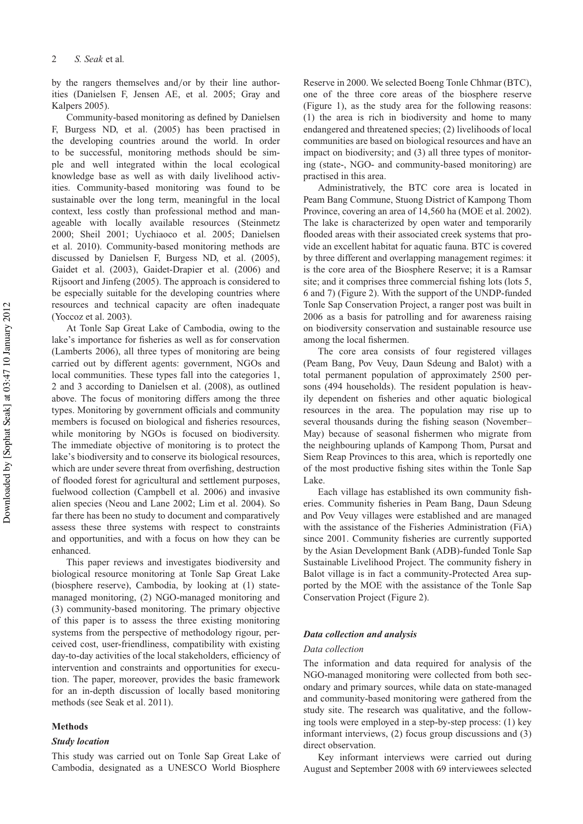by the rangers themselves and/or by their line authorities (Danielsen F, Jensen AE, et al. 2005; Gray and Kalpers 2005).

Community-based monitoring as defined by Danielsen F, Burgess ND, et al. (2005) has been practised in the developing countries around the world. In order to be successful, monitoring methods should be simple and well integrated within the local ecological knowledge base as well as with daily livelihood activities. Community-based monitoring was found to be sustainable over the long term, meaningful in the local context, less costly than professional method and manageable with locally available resources (Steinmetz 2000; Sheil 2001; Uychiaoco et al. 2005; Danielsen et al. 2010). Community-based monitoring methods are discussed by Danielsen F, Burgess ND, et al. (2005), Gaidet et al. (2003), Gaidet-Drapier et al. (2006) and Rijsoort and Jinfeng (2005). The approach is considered to be especially suitable for the developing countries where resources and technical capacity are often inadequate (Yoccoz et al. 2003).

At Tonle Sap Great Lake of Cambodia, owing to the lake's importance for fisheries as well as for conservation (Lamberts 2006), all three types of monitoring are being carried out by different agents: government, NGOs and local communities. These types fall into the categories 1, 2 and 3 according to Danielsen et al. (2008), as outlined above. The focus of monitoring differs among the three types. Monitoring by government officials and community members is focused on biological and fisheries resources, while monitoring by NGOs is focused on biodiversity. The immediate objective of monitoring is to protect the lake's biodiversity and to conserve its biological resources, which are under severe threat from overfishing, destruction of flooded forest for agricultural and settlement purposes, fuelwood collection (Campbell et al. 2006) and invasive alien species (Neou and Lane 2002; Lim et al. 2004). So far there has been no study to document and comparatively assess these three systems with respect to constraints and opportunities, and with a focus on how they can be enhanced.

This paper reviews and investigates biodiversity and biological resource monitoring at Tonle Sap Great Lake (biosphere reserve), Cambodia, by looking at (1) statemanaged monitoring, (2) NGO-managed monitoring and (3) community-based monitoring. The primary objective of this paper is to assess the three existing monitoring systems from the perspective of methodology rigour, perceived cost, user-friendliness, compatibility with existing day-to-day activities of the local stakeholders, efficiency of intervention and constraints and opportunities for execution. The paper, moreover, provides the basic framework for an in-depth discussion of locally based monitoring methods (see Seak et al. 2011).

### **Methods**

## *Study location*

This study was carried out on Tonle Sap Great Lake of Cambodia, designated as a UNESCO World Biosphere

Reserve in 2000. We selected Boeng Tonle Chhmar (BTC), one of the three core areas of the biosphere reserve (Figure 1), as the study area for the following reasons: (1) the area is rich in biodiversity and home to many endangered and threatened species; (2) livelihoods of local communities are based on biological resources and have an impact on biodiversity; and (3) all three types of monitoring (state-, NGO- and community-based monitoring) are practised in this area.

Administratively, the BTC core area is located in Peam Bang Commune, Stuong District of Kampong Thom Province, covering an area of 14,560 ha (MOE et al. 2002). The lake is characterized by open water and temporarily flooded areas with their associated creek systems that provide an excellent habitat for aquatic fauna. BTC is covered by three different and overlapping management regimes: it is the core area of the Biosphere Reserve; it is a Ramsar site; and it comprises three commercial fishing lots (lots 5, 6 and 7) (Figure 2). With the support of the UNDP-funded Tonle Sap Conservation Project, a ranger post was built in 2006 as a basis for patrolling and for awareness raising on biodiversity conservation and sustainable resource use among the local fishermen.

The core area consists of four registered villages (Peam Bang, Pov Veuy, Daun Sdeung and Balot) with a total permanent population of approximately 2500 persons (494 households). The resident population is heavily dependent on fisheries and other aquatic biological resources in the area. The population may rise up to several thousands during the fishing season (November– May) because of seasonal fishermen who migrate from the neighbouring uplands of Kampong Thom, Pursat and Siem Reap Provinces to this area, which is reportedly one of the most productive fishing sites within the Tonle Sap Lake.

Each village has established its own community fisheries. Community fisheries in Peam Bang, Daun Sdeung and Pov Veuy villages were established and are managed with the assistance of the Fisheries Administration (FiA) since 2001. Community fisheries are currently supported by the Asian Development Bank (ADB)-funded Tonle Sap Sustainable Livelihood Project. The community fishery in Balot village is in fact a community-Protected Area supported by the MOE with the assistance of the Tonle Sap Conservation Project (Figure 2).

## *Data collection and analysis*

## *Data collection*

The information and data required for analysis of the NGO-managed monitoring were collected from both secondary and primary sources, while data on state-managed and community-based monitoring were gathered from the study site. The research was qualitative, and the following tools were employed in a step-by-step process: (1) key informant interviews, (2) focus group discussions and (3) direct observation.

Key informant interviews were carried out during August and September 2008 with 69 interviewees selected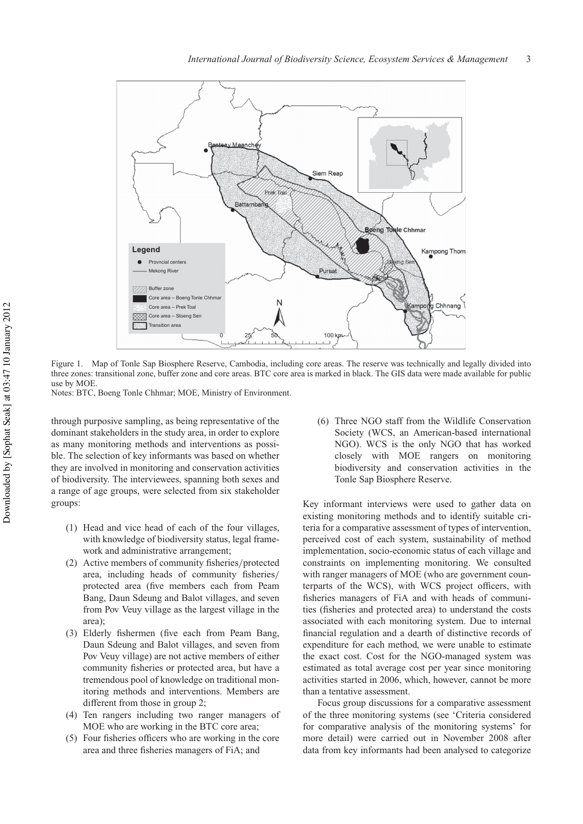

Figure 1. Map of Tonle Sap Biosphere Reserve, Cambodia, including core areas. The reserve was technically and legally divided into three zones: transitional zone, buffer zone and core areas. BTC core area is marked in black. The GIS data were made available for public use by MOE.

Notes: BTC, Boeng Tonle Chhmar; MOE, Ministry of Environment.

through purposive sampling, as being representative of the dominant stakeholders in the study area, in order to explore as many monitoring methods and interventions as possible. The selection of key informants was based on whether they are involved in monitoring and conservation activities of biodiversity. The interviewees, spanning both sexes and a range of age groups, were selected from six stakeholder groups:

- (1) Head and vice head of each of the four villages, with knowledge of biodiversity status, legal framework and administrative arrangement;
- (2) Active members of community fisheries/protected area, including heads of community fisheries/ protected area (five members each from Peam Bang, Daun Sdeung and Balot villages, and seven from Pov Veuy village as the largest village in the area);
- (3) Elderly fishermen (five each from Peam Bang, Daun Sdeung and Balot villages, and seven from Pov Veuy village) are not active members of either community fisheries or protected area, but have a tremendous pool of knowledge on traditional monitoring methods and interventions. Members are different from those in group 2;
- (4) Ten rangers including two ranger managers of MOE who are working in the BTC core area;
- (5) Four fisheries officers who are working in the core area and three fisheries managers of FiA; and

(6) Three NGO staff from the Wildlife Conservation Society (WCS, an American-based international NGO). WCS is the only NGO that has worked closely with MOE rangers on monitoring biodiversity and conservation activities in the Tonle Sap Biosphere Reserve.

Key informant interviews were used to gather data on existing monitoring methods and to identify suitable criteria for a comparative assessment of types of intervention, perceived cost of each system, sustainability of method implementation, socio-economic status of each village and constraints on implementing monitoring. We consulted with ranger managers of MOE (who are government counterparts of the WCS), with WCS project officers, with fisheries managers of FiA and with heads of communities (fisheries and protected area) to understand the costs associated with each monitoring system. Due to internal financial regulation and a dearth of distinctive records of expenditure for each method, we were unable to estimate the exact cost. Cost for the NGO-managed system was estimated as total average cost per year since monitoring activities started in 2006, which, however, cannot be more than a tentative assessment.

Focus group discussions for a comparative assessment of the three monitoring systems (see 'Criteria considered for comparative analysis of the monitoring systems' for more detail) were carried out in November 2008 after data from key informants had been analysed to categorize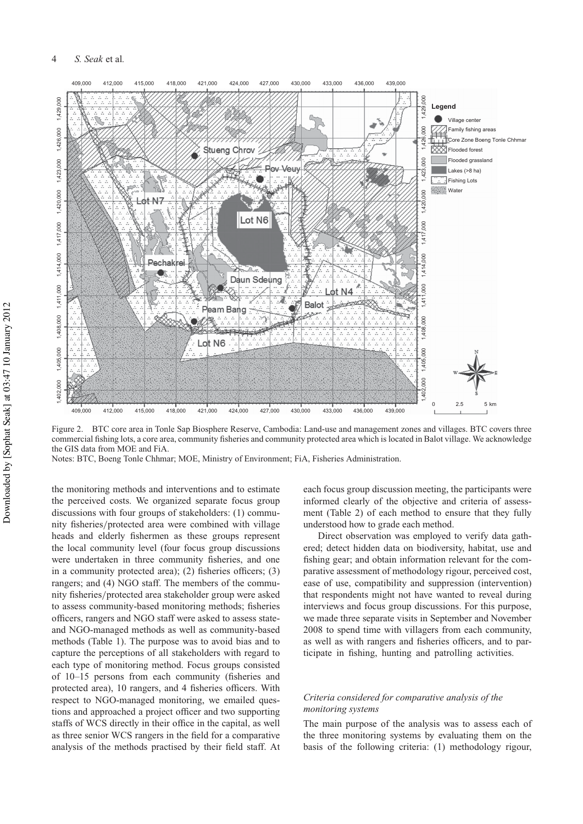

Figure 2. BTC core area in Tonle Sap Biosphere Reserve, Cambodia: Land-use and management zones and villages. BTC covers three commercial fishing lots, a core area, community fisheries and community protected area which is located in Balot village. We acknowledge the GIS data from MOE and FiA.

Notes: BTC, Boeng Tonle Chhmar; MOE, Ministry of Environment; FiA, Fisheries Administration.

the monitoring methods and interventions and to estimate the perceived costs. We organized separate focus group discussions with four groups of stakeholders: (1) community fisheries/protected area were combined with village heads and elderly fishermen as these groups represent the local community level (four focus group discussions were undertaken in three community fisheries, and one in a community protected area); (2) fisheries officers; (3) rangers; and (4) NGO staff. The members of the community fisheries/protected area stakeholder group were asked to assess community-based monitoring methods; fisheries officers, rangers and NGO staff were asked to assess stateand NGO-managed methods as well as community-based methods (Table 1). The purpose was to avoid bias and to capture the perceptions of all stakeholders with regard to each type of monitoring method. Focus groups consisted of 10–15 persons from each community (fisheries and protected area), 10 rangers, and 4 fisheries officers. With respect to NGO-managed monitoring, we emailed questions and approached a project officer and two supporting staffs of WCS directly in their office in the capital, as well as three senior WCS rangers in the field for a comparative analysis of the methods practised by their field staff. At

each focus group discussion meeting, the participants were informed clearly of the objective and criteria of assessment (Table 2) of each method to ensure that they fully understood how to grade each method.

Direct observation was employed to verify data gathered; detect hidden data on biodiversity, habitat, use and fishing gear; and obtain information relevant for the comparative assessment of methodology rigour, perceived cost, ease of use, compatibility and suppression (intervention) that respondents might not have wanted to reveal during interviews and focus group discussions. For this purpose, we made three separate visits in September and November 2008 to spend time with villagers from each community, as well as with rangers and fisheries officers, and to participate in fishing, hunting and patrolling activities.

## *Criteria considered for comparative analysis of the monitoring systems*

The main purpose of the analysis was to assess each of the three monitoring systems by evaluating them on the basis of the following criteria: (1) methodology rigour,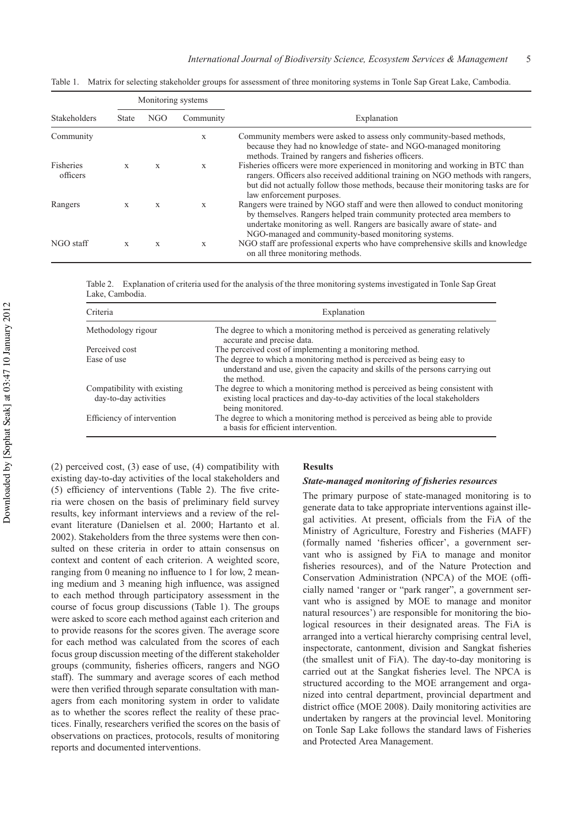|                       | Monitoring systems |     |              |                                                                                                                                                                                                                                                                                            |  |  |
|-----------------------|--------------------|-----|--------------|--------------------------------------------------------------------------------------------------------------------------------------------------------------------------------------------------------------------------------------------------------------------------------------------|--|--|
| Stakeholders          | State              | NGO | Community    | Explanation                                                                                                                                                                                                                                                                                |  |  |
| Community             |                    |     | X            | Community members were asked to assess only community-based methods,<br>because they had no knowledge of state- and NGO-managed monitoring<br>methods. Trained by rangers and fisheries officers.                                                                                          |  |  |
| Fisheries<br>officers | $\mathbf{x}$       | X   | $\mathbf{x}$ | Fisheries officers were more experienced in monitoring and working in BTC than<br>rangers. Officers also received additional training on NGO methods with rangers,<br>but did not actually follow those methods, because their monitoring tasks are for<br>law enforcement purposes.       |  |  |
| Rangers               | X                  | X   | $\mathbf x$  | Rangers were trained by NGO staff and were then allowed to conduct monitoring<br>by themselves. Rangers helped train community protected area members to<br>undertake monitoring as well. Rangers are basically aware of state- and<br>NGO-managed and community-based monitoring systems. |  |  |
| NGO staff             | X                  | X   | $\mathbf{x}$ | NGO staff are professional experts who have comprehensive skills and knowledge<br>on all three monitoring methods.                                                                                                                                                                         |  |  |

Table 1. Matrix for selecting stakeholder groups for assessment of three monitoring systems in Tonle Sap Great Lake, Cambodia.

Table 2. Explanation of criteria used for the analysis of the three monitoring systems investigated in Tonle Sap Great Lake, Cambodia.

| Criteria                                             | Explanation                                                                                                                                                                       |  |  |  |
|------------------------------------------------------|-----------------------------------------------------------------------------------------------------------------------------------------------------------------------------------|--|--|--|
| Methodology rigour                                   | The degree to which a monitoring method is perceived as generating relatively<br>accurate and precise data.                                                                       |  |  |  |
| Perceived cost                                       | The perceived cost of implementing a monitoring method.                                                                                                                           |  |  |  |
| Ease of use                                          | The degree to which a monitoring method is perceived as being easy to<br>understand and use, given the capacity and skills of the persons carrying out<br>the method.             |  |  |  |
| Compatibility with existing<br>day-to-day activities | The degree to which a monitoring method is perceived as being consistent with<br>existing local practices and day-to-day activities of the local stakeholders<br>being monitored. |  |  |  |
| Efficiency of intervention                           | The degree to which a monitoring method is perceived as being able to provide<br>a basis for efficient intervention.                                                              |  |  |  |

(2) perceived cost, (3) ease of use, (4) compatibility with existing day-to-day activities of the local stakeholders and (5) efficiency of interventions (Table 2). The five criteria were chosen on the basis of preliminary field survey results, key informant interviews and a review of the relevant literature (Danielsen et al. 2000; Hartanto et al. 2002). Stakeholders from the three systems were then consulted on these criteria in order to attain consensus on context and content of each criterion. A weighted score, ranging from 0 meaning no influence to 1 for low, 2 meaning medium and 3 meaning high influence, was assigned to each method through participatory assessment in the course of focus group discussions (Table 1). The groups were asked to score each method against each criterion and to provide reasons for the scores given. The average score for each method was calculated from the scores of each focus group discussion meeting of the different stakeholder groups (community, fisheries officers, rangers and NGO staff). The summary and average scores of each method were then verified through separate consultation with managers from each monitoring system in order to validate as to whether the scores reflect the reality of these practices. Finally, researchers verified the scores on the basis of observations on practices, protocols, results of monitoring reports and documented interventions.

## **Results**

## *State-managed monitoring of fisheries resources*

The primary purpose of state-managed monitoring is to generate data to take appropriate interventions against illegal activities. At present, officials from the FiA of the Ministry of Agriculture, Forestry and Fisheries (MAFF) (formally named 'fisheries officer', a government servant who is assigned by FiA to manage and monitor fisheries resources), and of the Nature Protection and Conservation Administration (NPCA) of the MOE (officially named 'ranger or "park ranger", a government servant who is assigned by MOE to manage and monitor natural resources') are responsible for monitoring the biological resources in their designated areas. The FiA is arranged into a vertical hierarchy comprising central level, inspectorate, cantonment, division and Sangkat fisheries (the smallest unit of FiA). The day-to-day monitoring is carried out at the Sangkat fisheries level. The NPCA is structured according to the MOE arrangement and organized into central department, provincial department and district office (MOE 2008). Daily monitoring activities are undertaken by rangers at the provincial level. Monitoring on Tonle Sap Lake follows the standard laws of Fisheries and Protected Area Management.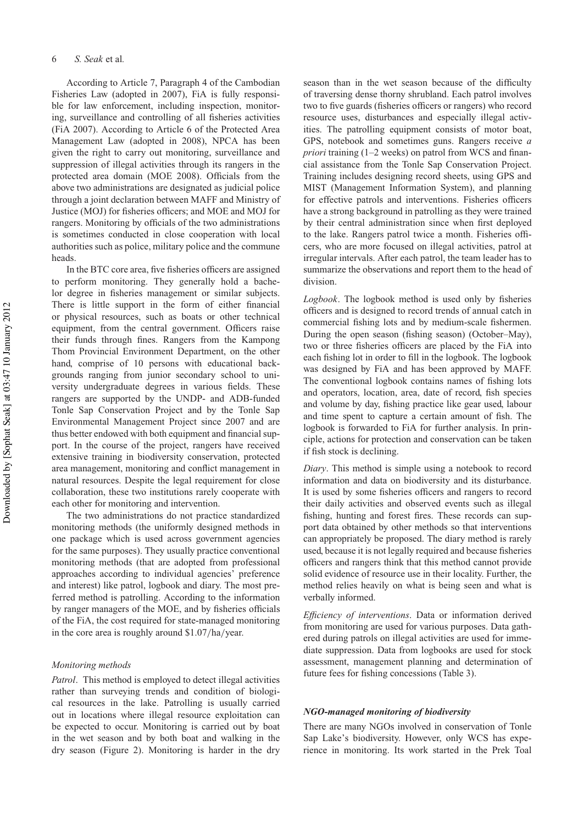According to Article 7, Paragraph 4 of the Cambodian Fisheries Law (adopted in 2007), FiA is fully responsible for law enforcement, including inspection, monitoring, surveillance and controlling of all fisheries activities (FiA 2007). According to Article 6 of the Protected Area Management Law (adopted in 2008), NPCA has been given the right to carry out monitoring, surveillance and suppression of illegal activities through its rangers in the protected area domain (MOE 2008). Officials from the above two administrations are designated as judicial police through a joint declaration between MAFF and Ministry of Justice (MOJ) for fisheries officers; and MOE and MOJ for rangers. Monitoring by officials of the two administrations is sometimes conducted in close cooperation with local authorities such as police, military police and the commune heads.

In the BTC core area, five fisheries officers are assigned to perform monitoring. They generally hold a bachelor degree in fisheries management or similar subjects. There is little support in the form of either financial or physical resources, such as boats or other technical equipment, from the central government. Officers raise their funds through fines. Rangers from the Kampong Thom Provincial Environment Department, on the other hand, comprise of 10 persons with educational backgrounds ranging from junior secondary school to university undergraduate degrees in various fields. These rangers are supported by the UNDP- and ADB-funded Tonle Sap Conservation Project and by the Tonle Sap Environmental Management Project since 2007 and are thus better endowed with both equipment and financial support. In the course of the project, rangers have received extensive training in biodiversity conservation, protected area management, monitoring and conflict management in natural resources. Despite the legal requirement for close collaboration, these two institutions rarely cooperate with each other for monitoring and intervention.

The two administrations do not practice standardized monitoring methods (the uniformly designed methods in one package which is used across government agencies for the same purposes). They usually practice conventional monitoring methods (that are adopted from professional approaches according to individual agencies' preference and interest) like patrol, logbook and diary. The most preferred method is patrolling. According to the information by ranger managers of the MOE, and by fisheries officials of the FiA, the cost required for state-managed monitoring in the core area is roughly around \$1.07/ha/year.

## *Monitoring methods*

*Patrol*. This method is employed to detect illegal activities rather than surveying trends and condition of biological resources in the lake. Patrolling is usually carried out in locations where illegal resource exploitation can be expected to occur. Monitoring is carried out by boat in the wet season and by both boat and walking in the dry season (Figure 2). Monitoring is harder in the dry

season than in the wet season because of the difficulty of traversing dense thorny shrubland. Each patrol involves two to five guards (fisheries officers or rangers) who record resource uses, disturbances and especially illegal activities. The patrolling equipment consists of motor boat, GPS, notebook and sometimes guns. Rangers receive *a priori* training (1–2 weeks) on patrol from WCS and financial assistance from the Tonle Sap Conservation Project. Training includes designing record sheets, using GPS and MIST (Management Information System), and planning for effective patrols and interventions. Fisheries officers have a strong background in patrolling as they were trained by their central administration since when first deployed to the lake. Rangers patrol twice a month. Fisheries officers, who are more focused on illegal activities, patrol at irregular intervals. After each patrol, the team leader has to summarize the observations and report them to the head of division.

*Logbook*. The logbook method is used only by fisheries officers and is designed to record trends of annual catch in commercial fishing lots and by medium-scale fishermen. During the open season (fishing season) (October–May), two or three fisheries officers are placed by the FiA into each fishing lot in order to fill in the logbook. The logbook was designed by FiA and has been approved by MAFF. The conventional logbook contains names of fishing lots and operators, location, area, date of record, fish species and volume by day, fishing practice like gear used, labour and time spent to capture a certain amount of fish. The logbook is forwarded to FiA for further analysis. In principle, actions for protection and conservation can be taken if fish stock is declining.

*Diary*. This method is simple using a notebook to record information and data on biodiversity and its disturbance. It is used by some fisheries officers and rangers to record their daily activities and observed events such as illegal fishing, hunting and forest fires. These records can support data obtained by other methods so that interventions can appropriately be proposed. The diary method is rarely used, because it is not legally required and because fisheries officers and rangers think that this method cannot provide solid evidence of resource use in their locality. Further, the method relies heavily on what is being seen and what is verbally informed.

*Efficiency of interventions*. Data or information derived from monitoring are used for various purposes. Data gathered during patrols on illegal activities are used for immediate suppression. Data from logbooks are used for stock assessment, management planning and determination of future fees for fishing concessions (Table 3).

## *NGO-managed monitoring of biodiversity*

There are many NGOs involved in conservation of Tonle Sap Lake's biodiversity. However, only WCS has experience in monitoring. Its work started in the Prek Toal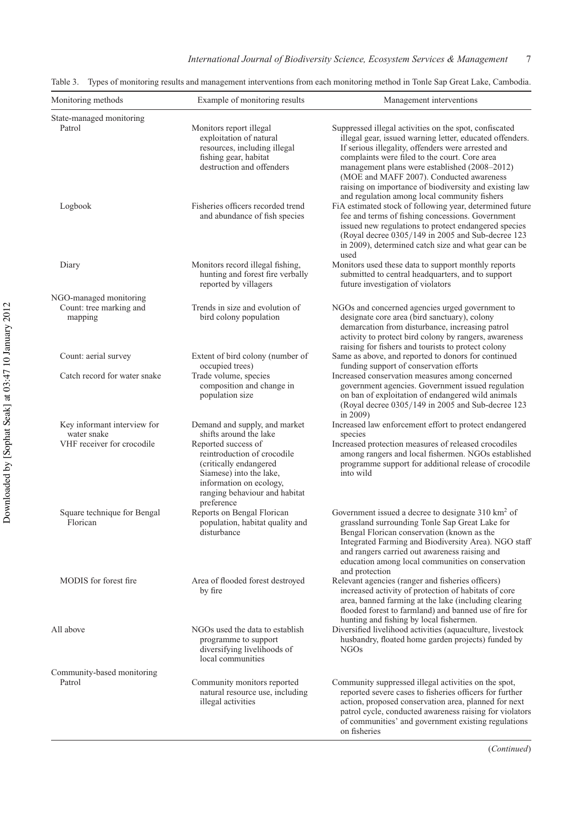| Monitoring methods                         | Example of monitoring results                                                                                                                                                     | Management interventions                                                                                                                                                                                                                                                                                                                                               |
|--------------------------------------------|-----------------------------------------------------------------------------------------------------------------------------------------------------------------------------------|------------------------------------------------------------------------------------------------------------------------------------------------------------------------------------------------------------------------------------------------------------------------------------------------------------------------------------------------------------------------|
| State-managed monitoring<br>Patrol         | Monitors report illegal                                                                                                                                                           | Suppressed illegal activities on the spot, confiscated                                                                                                                                                                                                                                                                                                                 |
|                                            | exploitation of natural<br>resources, including illegal<br>fishing gear, habitat<br>destruction and offenders                                                                     | illegal gear, issued warning letter, educated offenders.<br>If serious illegality, offenders were arrested and<br>complaints were filed to the court. Core area<br>management plans were established (2008–2012)<br>(MOE and MAFF 2007). Conducted awareness<br>raising on importance of biodiversity and existing law<br>and regulation among local community fishers |
| Logbook                                    | Fisheries officers recorded trend<br>and abundance of fish species                                                                                                                | FiA estimated stock of following year, determined future<br>fee and terms of fishing concessions. Government<br>issued new regulations to protect endangered species<br>(Royal decree 0305/149 in 2005 and Sub-decree 123<br>in 2009), determined catch size and what gear can be<br>used                                                                              |
| Diary                                      | Monitors record illegal fishing,<br>hunting and forest fire verbally<br>reported by villagers                                                                                     | Monitors used these data to support monthly reports<br>submitted to central headquarters, and to support<br>future investigation of violators                                                                                                                                                                                                                          |
| NGO-managed monitoring                     |                                                                                                                                                                                   |                                                                                                                                                                                                                                                                                                                                                                        |
| Count: tree marking and<br>mapping         | Trends in size and evolution of<br>bird colony population                                                                                                                         | NGOs and concerned agencies urged government to<br>designate core area (bird sanctuary), colony<br>demarcation from disturbance, increasing patrol<br>activity to protect bird colony by rangers, awareness<br>raising for fishers and tourists to protect colony                                                                                                      |
| Count: aerial survey                       | Extent of bird colony (number of<br>occupied trees)                                                                                                                               | Same as above, and reported to donors for continued<br>funding support of conservation efforts                                                                                                                                                                                                                                                                         |
| Catch record for water snake               | Trade volume, species<br>composition and change in<br>population size                                                                                                             | Increased conservation measures among concerned<br>government agencies. Government issued regulation<br>on ban of exploitation of endangered wild animals<br>(Royal decree 0305/149 in 2005 and Sub-decree 123<br>in $2009$ )                                                                                                                                          |
| Key informant interview for<br>water snake | Demand and supply, and market<br>shifts around the lake                                                                                                                           | Increased law enforcement effort to protect endangered<br>species                                                                                                                                                                                                                                                                                                      |
| VHF receiver for crocodile                 | Reported success of<br>reintroduction of crocodile<br>(critically endangered<br>Siamese) into the lake,<br>information on ecology,<br>ranging behaviour and habitat<br>preference | Increased protection measures of released crocodiles<br>among rangers and local fishermen. NGOs established<br>programme support for additional release of crocodile<br>into wild                                                                                                                                                                                      |
| Square technique for Bengal<br>Florican    | Reports on Bengal Florican<br>population, habitat quality and<br>disturbance                                                                                                      | Government issued a decree to designate 310 km <sup>2</sup> of<br>grassland surrounding Tonle Sap Great Lake for<br>Bengal Florican conservation (known as the<br>Integrated Farming and Biodiversity Area). NGO staff<br>and rangers carried out awareness raising and<br>education among local communities on conservation<br>and protection                         |
| MODIS for forest fire                      | Area of flooded forest destroyed<br>by fire                                                                                                                                       | Relevant agencies (ranger and fisheries officers)<br>increased activity of protection of habitats of core<br>area, banned farming at the lake (including clearing<br>flooded forest to farmland) and banned use of fire for<br>hunting and fishing by local fishermen.                                                                                                 |
| All above                                  | NGOs used the data to establish<br>programme to support<br>diversifying livelihoods of<br>local communities                                                                       | Diversified livelihood activities (aquaculture, livestock<br>husbandry, floated home garden projects) funded by<br>NGO <sub>s</sub>                                                                                                                                                                                                                                    |
| Community-based monitoring                 |                                                                                                                                                                                   |                                                                                                                                                                                                                                                                                                                                                                        |
| Patrol                                     | Community monitors reported<br>natural resource use, including<br>illegal activities                                                                                              | Community suppressed illegal activities on the spot,<br>reported severe cases to fisheries officers for further<br>action, proposed conservation area, planned for next<br>patrol cycle, conducted awareness raising for violators<br>of communities' and government existing regulations<br>on fisheries                                                              |

Table 3. Types of monitoring results and management interventions from each monitoring method in Tonle Sap Great Lake, Cambodia.

(*Continued*)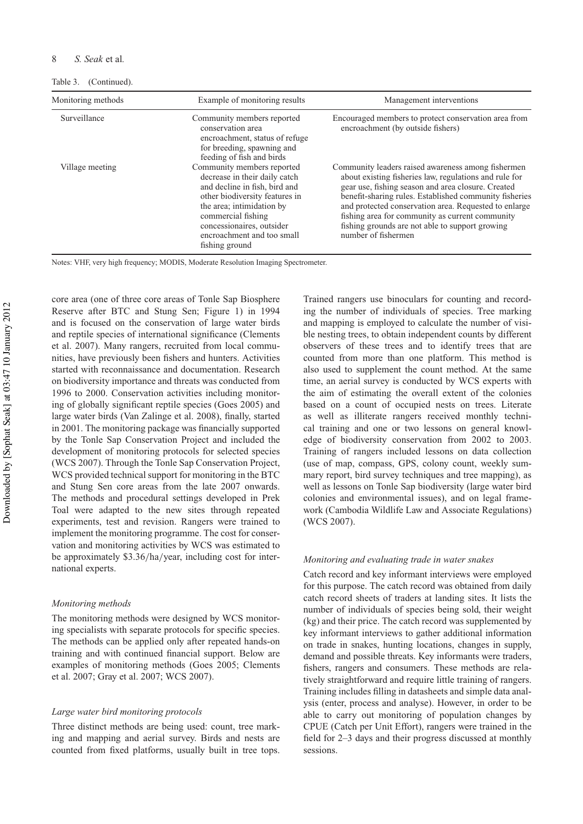## 8 *S. Seak* et al*.*

Table 3. (Continued).

| Monitoring methods | Example of monitoring results                                                                                                                                                                                                                                  | Management interventions                                                                                                                                                                                                                                                                                                                                                                                           |
|--------------------|----------------------------------------------------------------------------------------------------------------------------------------------------------------------------------------------------------------------------------------------------------------|--------------------------------------------------------------------------------------------------------------------------------------------------------------------------------------------------------------------------------------------------------------------------------------------------------------------------------------------------------------------------------------------------------------------|
| Surveillance       | Community members reported<br>conservation area<br>encroachment, status of refuge<br>for breeding, spawning and<br>feeding of fish and birds                                                                                                                   | Encouraged members to protect conservation area from<br>encroachment (by outside fishers)                                                                                                                                                                                                                                                                                                                          |
| Village meeting    | Community members reported<br>decrease in their daily catch<br>and decline in fish, bird and<br>other biodiversity features in<br>the area; intimidation by<br>commercial fishing<br>concessionaires, outsider<br>encroachment and too small<br>fishing ground | Community leaders raised awareness among fishermen<br>about existing fisheries law, regulations and rule for<br>gear use, fishing season and area closure. Created<br>benefit-sharing rules. Established community fisheries<br>and protected conservation area. Requested to enlarge<br>fishing area for community as current community<br>fishing grounds are not able to support growing<br>number of fishermen |

Notes: VHF, very high frequency; MODIS, Moderate Resolution Imaging Spectrometer.

core area (one of three core areas of Tonle Sap Biosphere Reserve after BTC and Stung Sen; Figure 1) in 1994 and is focused on the conservation of large water birds and reptile species of international significance (Clements et al. 2007). Many rangers, recruited from local communities, have previously been fishers and hunters. Activities started with reconnaissance and documentation. Research on biodiversity importance and threats was conducted from 1996 to 2000. Conservation activities including monitoring of globally significant reptile species (Goes 2005) and large water birds (Van Zalinge et al. 2008), finally, started in 2001. The monitoring package was financially supported by the Tonle Sap Conservation Project and included the development of monitoring protocols for selected species (WCS 2007). Through the Tonle Sap Conservation Project, WCS provided technical support for monitoring in the BTC and Stung Sen core areas from the late 2007 onwards. The methods and procedural settings developed in Prek Toal were adapted to the new sites through repeated experiments, test and revision. Rangers were trained to implement the monitoring programme. The cost for conservation and monitoring activities by WCS was estimated to be approximately \$3.36/ha/year, including cost for international experts.

## *Monitoring methods*

The monitoring methods were designed by WCS monitoring specialists with separate protocols for specific species. The methods can be applied only after repeated hands-on training and with continued financial support. Below are examples of monitoring methods (Goes 2005; Clements et al. 2007; Gray et al. 2007; WCS 2007).

## *Large water bird monitoring protocols*

Three distinct methods are being used: count, tree marking and mapping and aerial survey. Birds and nests are counted from fixed platforms, usually built in tree tops. Trained rangers use binoculars for counting and recording the number of individuals of species. Tree marking and mapping is employed to calculate the number of visible nesting trees, to obtain independent counts by different observers of these trees and to identify trees that are counted from more than one platform. This method is also used to supplement the count method. At the same time, an aerial survey is conducted by WCS experts with the aim of estimating the overall extent of the colonies based on a count of occupied nests on trees. Literate as well as illiterate rangers received monthly technical training and one or two lessons on general knowledge of biodiversity conservation from 2002 to 2003. Training of rangers included lessons on data collection (use of map, compass, GPS, colony count, weekly summary report, bird survey techniques and tree mapping), as well as lessons on Tonle Sap biodiversity (large water bird colonies and environmental issues), and on legal framework (Cambodia Wildlife Law and Associate Regulations) (WCS 2007).

#### *Monitoring and evaluating trade in water snakes*

Catch record and key informant interviews were employed for this purpose. The catch record was obtained from daily catch record sheets of traders at landing sites. It lists the number of individuals of species being sold, their weight (kg) and their price. The catch record was supplemented by key informant interviews to gather additional information on trade in snakes, hunting locations, changes in supply, demand and possible threats. Key informants were traders, fishers, rangers and consumers. These methods are relatively straightforward and require little training of rangers. Training includes filling in datasheets and simple data analysis (enter, process and analyse). However, in order to be able to carry out monitoring of population changes by CPUE (Catch per Unit Effort), rangers were trained in the field for 2–3 days and their progress discussed at monthly sessions.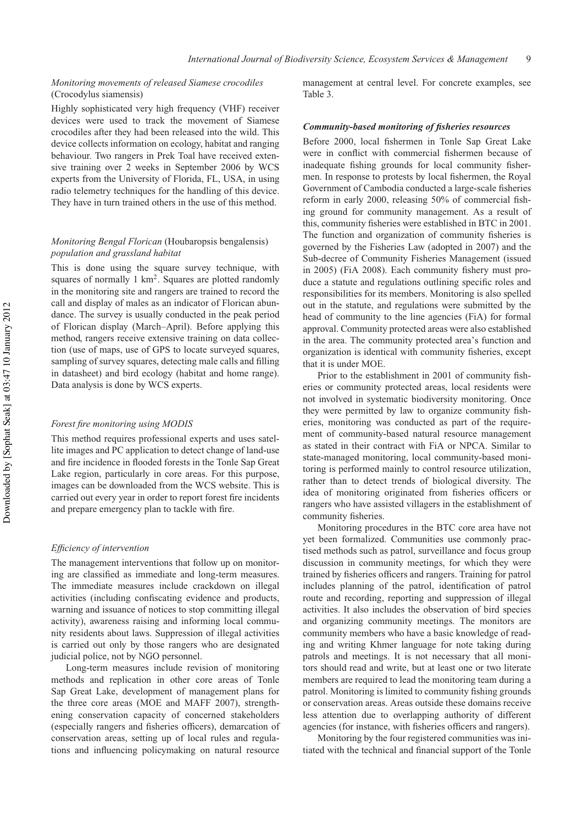## *Monitoring movements of released Siamese crocodiles* (Crocodylus siamensis)

Highly sophisticated very high frequency (VHF) receiver devices were used to track the movement of Siamese crocodiles after they had been released into the wild. This device collects information on ecology, habitat and ranging behaviour. Two rangers in Prek Toal have received extensive training over 2 weeks in September 2006 by WCS experts from the University of Florida, FL, USA, in using radio telemetry techniques for the handling of this device. They have in turn trained others in the use of this method.

## *Monitoring Bengal Florican* (Houbaropsis bengalensis) *population and grassland habitat*

This is done using the square survey technique, with squares of normally 1 km<sup>2</sup>. Squares are plotted randomly in the monitoring site and rangers are trained to record the call and display of males as an indicator of Florican abundance. The survey is usually conducted in the peak period of Florican display (March–April). Before applying this method, rangers receive extensive training on data collection (use of maps, use of GPS to locate surveyed squares, sampling of survey squares, detecting male calls and filling in datasheet) and bird ecology (habitat and home range). Data analysis is done by WCS experts.

## *Forest fire monitoring using MODIS*

This method requires professional experts and uses satellite images and PC application to detect change of land-use and fire incidence in flooded forests in the Tonle Sap Great Lake region, particularly in core areas. For this purpose, images can be downloaded from the WCS website. This is carried out every year in order to report forest fire incidents and prepare emergency plan to tackle with fire.

#### *Efficiency of intervention*

The management interventions that follow up on monitoring are classified as immediate and long-term measures. The immediate measures include crackdown on illegal activities (including confiscating evidence and products, warning and issuance of notices to stop committing illegal activity), awareness raising and informing local community residents about laws. Suppression of illegal activities is carried out only by those rangers who are designated judicial police, not by NGO personnel.

Long-term measures include revision of monitoring methods and replication in other core areas of Tonle Sap Great Lake, development of management plans for the three core areas (MOE and MAFF 2007), strengthening conservation capacity of concerned stakeholders (especially rangers and fisheries officers), demarcation of conservation areas, setting up of local rules and regulations and influencing policymaking on natural resource management at central level. For concrete examples, see Table 3.

## *Community-based monitoring of fisheries resources*

Before 2000, local fishermen in Tonle Sap Great Lake were in conflict with commercial fishermen because of inadequate fishing grounds for local community fishermen. In response to protests by local fishermen, the Royal Government of Cambodia conducted a large-scale fisheries reform in early 2000, releasing 50% of commercial fishing ground for community management. As a result of this, community fisheries were established in BTC in 2001. The function and organization of community fisheries is governed by the Fisheries Law (adopted in 2007) and the Sub-decree of Community Fisheries Management (issued in 2005) (FiA 2008). Each community fishery must produce a statute and regulations outlining specific roles and responsibilities for its members. Monitoring is also spelled out in the statute, and regulations were submitted by the head of community to the line agencies (FiA) for formal approval. Community protected areas were also established in the area. The community protected area's function and organization is identical with community fisheries, except that it is under MOE.

Prior to the establishment in 2001 of community fisheries or community protected areas, local residents were not involved in systematic biodiversity monitoring. Once they were permitted by law to organize community fisheries, monitoring was conducted as part of the requirement of community-based natural resource management as stated in their contract with FiA or NPCA. Similar to state-managed monitoring, local community-based monitoring is performed mainly to control resource utilization, rather than to detect trends of biological diversity. The idea of monitoring originated from fisheries officers or rangers who have assisted villagers in the establishment of community fisheries.

Monitoring procedures in the BTC core area have not yet been formalized. Communities use commonly practised methods such as patrol, surveillance and focus group discussion in community meetings, for which they were trained by fisheries officers and rangers. Training for patrol includes planning of the patrol, identification of patrol route and recording, reporting and suppression of illegal activities. It also includes the observation of bird species and organizing community meetings. The monitors are community members who have a basic knowledge of reading and writing Khmer language for note taking during patrols and meetings. It is not necessary that all monitors should read and write, but at least one or two literate members are required to lead the monitoring team during a patrol. Monitoring is limited to community fishing grounds or conservation areas. Areas outside these domains receive less attention due to overlapping authority of different agencies (for instance, with fisheries officers and rangers).

Monitoring by the four registered communities was initiated with the technical and financial support of the Tonle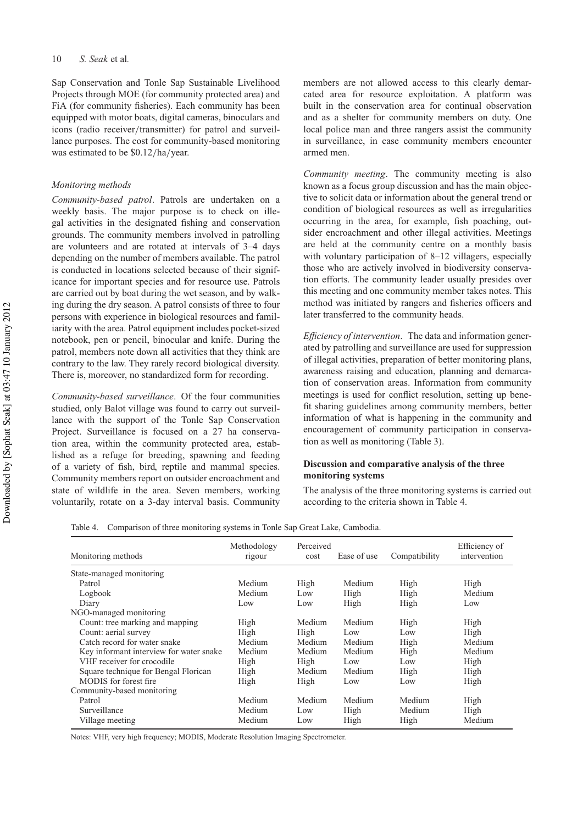Sap Conservation and Tonle Sap Sustainable Livelihood Projects through MOE (for community protected area) and FiA (for community fisheries). Each community has been equipped with motor boats, digital cameras, binoculars and icons (radio receiver/transmitter) for patrol and surveillance purposes. The cost for community-based monitoring was estimated to be \$0.12/ha/year.

## *Monitoring methods*

*Community-based patrol*. Patrols are undertaken on a weekly basis. The major purpose is to check on illegal activities in the designated fishing and conservation grounds. The community members involved in patrolling are volunteers and are rotated at intervals of 3–4 days depending on the number of members available. The patrol is conducted in locations selected because of their significance for important species and for resource use. Patrols are carried out by boat during the wet season, and by walking during the dry season. A patrol consists of three to four persons with experience in biological resources and familiarity with the area. Patrol equipment includes pocket-sized notebook, pen or pencil, binocular and knife. During the patrol, members note down all activities that they think are contrary to the law. They rarely record biological diversity. There is, moreover, no standardized form for recording.

*Community-based surveillance*. Of the four communities studied, only Balot village was found to carry out surveillance with the support of the Tonle Sap Conservation Project. Surveillance is focused on a 27 ha conservation area, within the community protected area, established as a refuge for breeding, spawning and feeding of a variety of fish, bird, reptile and mammal species. Community members report on outsider encroachment and state of wildlife in the area. Seven members, working voluntarily, rotate on a 3-day interval basis. Community

members are not allowed access to this clearly demarcated area for resource exploitation. A platform was built in the conservation area for continual observation and as a shelter for community members on duty. One local police man and three rangers assist the community in surveillance, in case community members encounter armed men.

*Community meeting*. The community meeting is also known as a focus group discussion and has the main objective to solicit data or information about the general trend or condition of biological resources as well as irregularities occurring in the area, for example, fish poaching, outsider encroachment and other illegal activities. Meetings are held at the community centre on a monthly basis with voluntary participation of 8–12 villagers, especially those who are actively involved in biodiversity conservation efforts. The community leader usually presides over this meeting and one community member takes notes. This method was initiated by rangers and fisheries officers and later transferred to the community heads.

*Efficiency of intervention*. The data and information generated by patrolling and surveillance are used for suppression of illegal activities, preparation of better monitoring plans, awareness raising and education, planning and demarcation of conservation areas. Information from community meetings is used for conflict resolution, setting up benefit sharing guidelines among community members, better information of what is happening in the community and encouragement of community participation in conservation as well as monitoring (Table 3).

## **Discussion and comparative analysis of the three monitoring systems**

The analysis of the three monitoring systems is carried out according to the criteria shown in Table 4.

Table 4. Comparison of three monitoring systems in Tonle Sap Great Lake, Cambodia.

| Monitoring methods                      | Methodology<br>rigour | Perceived<br>cost | Ease of use | Compatibility | Efficiency of<br>intervention |
|-----------------------------------------|-----------------------|-------------------|-------------|---------------|-------------------------------|
| State-managed monitoring                |                       |                   |             |               |                               |
| Patrol                                  | Medium                | High              | Medium      | High          | High                          |
| Logbook                                 | Medium                | Low               | High        | High          | Medium                        |
| Diary                                   | Low                   | Low               | High        | High          | Low                           |
| NGO-managed monitoring                  |                       |                   |             |               |                               |
| Count: tree marking and mapping         | High                  | Medium            | Medium      | High          | High                          |
| Count: aerial survey                    | High                  | High              | Low         | Low           | High                          |
| Catch record for water snake            | Medium                | Medium            | Medium      | High          | Medium                        |
| Key informant interview for water snake | Medium                | Medium            | Medium      | High          | Medium                        |
| VHF receiver for crocodile              | High                  | High              | Low         | Low           | High                          |
| Square technique for Bengal Florican    | High                  | Medium            | Medium      | High          | High                          |
| MODIS for forest fire                   | High                  | High              | Low         | Low           | High                          |
| Community-based monitoring              |                       |                   |             |               |                               |
| Patrol                                  | Medium                | Medium            | Medium      | Medium        | High                          |
| Surveillance                            | Medium                | Low               | High        | Medium        | High                          |
| Village meeting                         | Medium                | Low               | High        | High          | Medium                        |

Notes: VHF, very high frequency; MODIS, Moderate Resolution Imaging Spectrometer.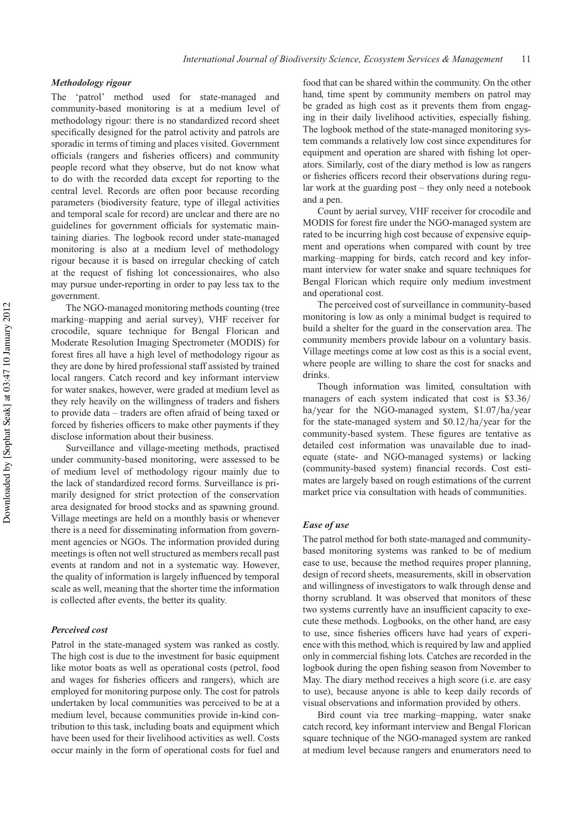## *Methodology rigour*

The 'patrol' method used for state-managed and community-based monitoring is at a medium level of methodology rigour: there is no standardized record sheet specifically designed for the patrol activity and patrols are sporadic in terms of timing and places visited. Government officials (rangers and fisheries officers) and community people record what they observe, but do not know what to do with the recorded data except for reporting to the central level. Records are often poor because recording parameters (biodiversity feature, type of illegal activities and temporal scale for record) are unclear and there are no guidelines for government officials for systematic maintaining diaries. The logbook record under state-managed monitoring is also at a medium level of methodology rigour because it is based on irregular checking of catch at the request of fishing lot concessionaires, who also may pursue under-reporting in order to pay less tax to the government.

The NGO-managed monitoring methods counting (tree marking–mapping and aerial survey), VHF receiver for crocodile, square technique for Bengal Florican and Moderate Resolution Imaging Spectrometer (MODIS) for forest fires all have a high level of methodology rigour as they are done by hired professional staff assisted by trained local rangers. Catch record and key informant interview for water snakes, however, were graded at medium level as they rely heavily on the willingness of traders and fishers to provide data – traders are often afraid of being taxed or forced by fisheries officers to make other payments if they disclose information about their business.

Surveillance and village-meeting methods, practised under community-based monitoring, were assessed to be of medium level of methodology rigour mainly due to the lack of standardized record forms. Surveillance is primarily designed for strict protection of the conservation area designated for brood stocks and as spawning ground. Village meetings are held on a monthly basis or whenever there is a need for disseminating information from government agencies or NGOs. The information provided during meetings is often not well structured as members recall past events at random and not in a systematic way. However, the quality of information is largely influenced by temporal scale as well, meaning that the shorter time the information is collected after events, the better its quality.

## *Perceived cost*

Patrol in the state-managed system was ranked as costly. The high cost is due to the investment for basic equipment like motor boats as well as operational costs (petrol, food and wages for fisheries officers and rangers), which are employed for monitoring purpose only. The cost for patrols undertaken by local communities was perceived to be at a medium level, because communities provide in-kind contribution to this task, including boats and equipment which have been used for their livelihood activities as well. Costs occur mainly in the form of operational costs for fuel and food that can be shared within the community. On the other hand, time spent by community members on patrol may be graded as high cost as it prevents them from engaging in their daily livelihood activities, especially fishing. The logbook method of the state-managed monitoring system commands a relatively low cost since expenditures for equipment and operation are shared with fishing lot operators. Similarly, cost of the diary method is low as rangers or fisheries officers record their observations during regular work at the guarding post – they only need a notebook and a pen.

Count by aerial survey, VHF receiver for crocodile and MODIS for forest fire under the NGO-managed system are rated to be incurring high cost because of expensive equipment and operations when compared with count by tree marking–mapping for birds, catch record and key informant interview for water snake and square techniques for Bengal Florican which require only medium investment and operational cost.

The perceived cost of surveillance in community-based monitoring is low as only a minimal budget is required to build a shelter for the guard in the conservation area. The community members provide labour on a voluntary basis. Village meetings come at low cost as this is a social event, where people are willing to share the cost for snacks and drinks.

Though information was limited, consultation with managers of each system indicated that cost is \$3.36/ ha/year for the NGO-managed system, \$1.07/ha/year for the state-managed system and \$0.12/ha/year for the community-based system. These figures are tentative as detailed cost information was unavailable due to inadequate (state- and NGO-managed systems) or lacking (community-based system) financial records. Cost estimates are largely based on rough estimations of the current market price via consultation with heads of communities.

## *Ease of use*

The patrol method for both state-managed and communitybased monitoring systems was ranked to be of medium ease to use, because the method requires proper planning, design of record sheets, measurements, skill in observation and willingness of investigators to walk through dense and thorny scrubland. It was observed that monitors of these two systems currently have an insufficient capacity to execute these methods. Logbooks, on the other hand, are easy to use, since fisheries officers have had years of experience with this method, which is required by law and applied only in commercial fishing lots. Catches are recorded in the logbook during the open fishing season from November to May. The diary method receives a high score (i.e. are easy to use), because anyone is able to keep daily records of visual observations and information provided by others.

Bird count via tree marking–mapping, water snake catch record, key informant interview and Bengal Florican square technique of the NGO-managed system are ranked at medium level because rangers and enumerators need to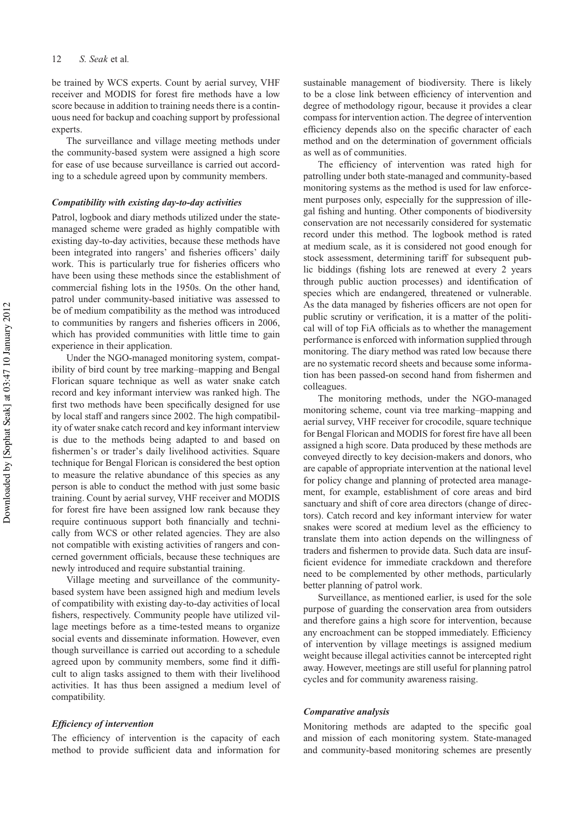be trained by WCS experts. Count by aerial survey, VHF receiver and MODIS for forest fire methods have a low score because in addition to training needs there is a continuous need for backup and coaching support by professional experts.

The surveillance and village meeting methods under the community-based system were assigned a high score for ease of use because surveillance is carried out according to a schedule agreed upon by community members.

### *Compatibility with existing day-to-day activities*

Patrol, logbook and diary methods utilized under the statemanaged scheme were graded as highly compatible with existing day-to-day activities, because these methods have been integrated into rangers' and fisheries officers' daily work. This is particularly true for fisheries officers who have been using these methods since the establishment of commercial fishing lots in the 1950s. On the other hand, patrol under community-based initiative was assessed to be of medium compatibility as the method was introduced to communities by rangers and fisheries officers in 2006, which has provided communities with little time to gain experience in their application.

Under the NGO-managed monitoring system, compatibility of bird count by tree marking–mapping and Bengal Florican square technique as well as water snake catch record and key informant interview was ranked high. The first two methods have been specifically designed for use by local staff and rangers since 2002. The high compatibility of water snake catch record and key informant interview is due to the methods being adapted to and based on fishermen's or trader's daily livelihood activities. Square technique for Bengal Florican is considered the best option to measure the relative abundance of this species as any person is able to conduct the method with just some basic training. Count by aerial survey, VHF receiver and MODIS for forest fire have been assigned low rank because they require continuous support both financially and technically from WCS or other related agencies. They are also not compatible with existing activities of rangers and concerned government officials, because these techniques are newly introduced and require substantial training.

Village meeting and surveillance of the communitybased system have been assigned high and medium levels of compatibility with existing day-to-day activities of local fishers, respectively. Community people have utilized village meetings before as a time-tested means to organize social events and disseminate information. However, even though surveillance is carried out according to a schedule agreed upon by community members, some find it difficult to align tasks assigned to them with their livelihood activities. It has thus been assigned a medium level of compatibility.

### *Efficiency of intervention*

The efficiency of intervention is the capacity of each method to provide sufficient data and information for sustainable management of biodiversity. There is likely to be a close link between efficiency of intervention and degree of methodology rigour, because it provides a clear compass for intervention action. The degree of intervention efficiency depends also on the specific character of each method and on the determination of government officials as well as of communities.

The efficiency of intervention was rated high for patrolling under both state-managed and community-based monitoring systems as the method is used for law enforcement purposes only, especially for the suppression of illegal fishing and hunting. Other components of biodiversity conservation are not necessarily considered for systematic record under this method. The logbook method is rated at medium scale, as it is considered not good enough for stock assessment, determining tariff for subsequent public biddings (fishing lots are renewed at every 2 years through public auction processes) and identification of species which are endangered, threatened or vulnerable. As the data managed by fisheries officers are not open for public scrutiny or verification, it is a matter of the political will of top FiA officials as to whether the management performance is enforced with information supplied through monitoring. The diary method was rated low because there are no systematic record sheets and because some information has been passed-on second hand from fishermen and colleagues.

The monitoring methods, under the NGO-managed monitoring scheme, count via tree marking–mapping and aerial survey, VHF receiver for crocodile, square technique for Bengal Florican and MODIS for forest fire have all been assigned a high score. Data produced by these methods are conveyed directly to key decision-makers and donors, who are capable of appropriate intervention at the national level for policy change and planning of protected area management, for example, establishment of core areas and bird sanctuary and shift of core area directors (change of directors). Catch record and key informant interview for water snakes were scored at medium level as the efficiency to translate them into action depends on the willingness of traders and fishermen to provide data. Such data are insufficient evidence for immediate crackdown and therefore need to be complemented by other methods, particularly better planning of patrol work.

Surveillance, as mentioned earlier, is used for the sole purpose of guarding the conservation area from outsiders and therefore gains a high score for intervention, because any encroachment can be stopped immediately. Efficiency of intervention by village meetings is assigned medium weight because illegal activities cannot be intercepted right away. However, meetings are still useful for planning patrol cycles and for community awareness raising.

## *Comparative analysis*

Monitoring methods are adapted to the specific goal and mission of each monitoring system. State-managed and community-based monitoring schemes are presently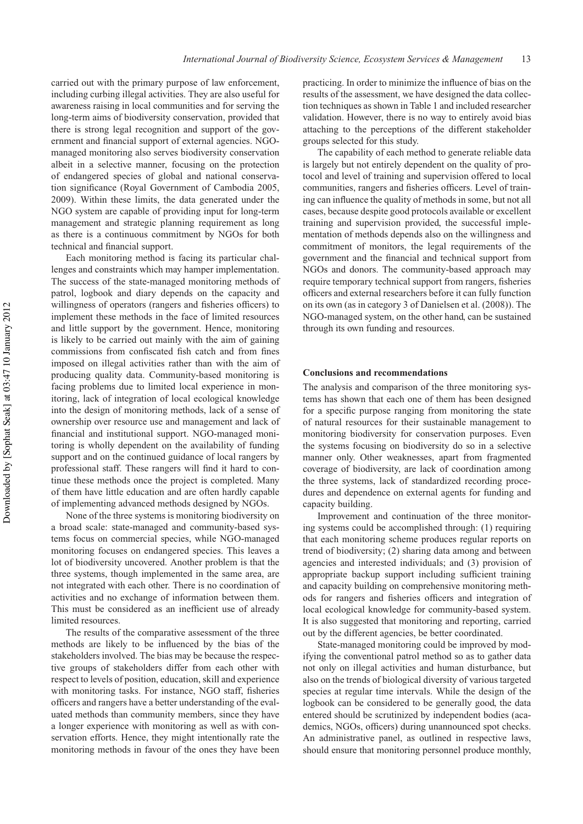carried out with the primary purpose of law enforcement, including curbing illegal activities. They are also useful for awareness raising in local communities and for serving the long-term aims of biodiversity conservation, provided that there is strong legal recognition and support of the government and financial support of external agencies. NGOmanaged monitoring also serves biodiversity conservation albeit in a selective manner, focusing on the protection of endangered species of global and national conservation significance (Royal Government of Cambodia 2005, 2009). Within these limits, the data generated under the NGO system are capable of providing input for long-term management and strategic planning requirement as long as there is a continuous commitment by NGOs for both technical and financial support.

Each monitoring method is facing its particular challenges and constraints which may hamper implementation. The success of the state-managed monitoring methods of patrol, logbook and diary depends on the capacity and willingness of operators (rangers and fisheries officers) to implement these methods in the face of limited resources and little support by the government. Hence, monitoring is likely to be carried out mainly with the aim of gaining commissions from confiscated fish catch and from fines imposed on illegal activities rather than with the aim of producing quality data. Community-based monitoring is facing problems due to limited local experience in monitoring, lack of integration of local ecological knowledge into the design of monitoring methods, lack of a sense of ownership over resource use and management and lack of financial and institutional support. NGO-managed monitoring is wholly dependent on the availability of funding support and on the continued guidance of local rangers by professional staff. These rangers will find it hard to continue these methods once the project is completed. Many of them have little education and are often hardly capable of implementing advanced methods designed by NGOs.

None of the three systems is monitoring biodiversity on a broad scale: state-managed and community-based systems focus on commercial species, while NGO-managed monitoring focuses on endangered species. This leaves a lot of biodiversity uncovered. Another problem is that the three systems, though implemented in the same area, are not integrated with each other. There is no coordination of activities and no exchange of information between them. This must be considered as an inefficient use of already limited resources.

The results of the comparative assessment of the three methods are likely to be influenced by the bias of the stakeholders involved. The bias may be because the respective groups of stakeholders differ from each other with respect to levels of position, education, skill and experience with monitoring tasks. For instance, NGO staff, fisheries officers and rangers have a better understanding of the evaluated methods than community members, since they have a longer experience with monitoring as well as with conservation efforts. Hence, they might intentionally rate the monitoring methods in favour of the ones they have been practicing. In order to minimize the influence of bias on the results of the assessment, we have designed the data collection techniques as shown in Table 1 and included researcher validation. However, there is no way to entirely avoid bias attaching to the perceptions of the different stakeholder groups selected for this study.

The capability of each method to generate reliable data is largely but not entirely dependent on the quality of protocol and level of training and supervision offered to local communities, rangers and fisheries officers. Level of training can influence the quality of methods in some, but not all cases, because despite good protocols available or excellent training and supervision provided, the successful implementation of methods depends also on the willingness and commitment of monitors, the legal requirements of the government and the financial and technical support from NGOs and donors. The community-based approach may require temporary technical support from rangers, fisheries officers and external researchers before it can fully function on its own (as in category 3 of Danielsen et al. (2008)). The NGO-managed system, on the other hand, can be sustained through its own funding and resources.

#### **Conclusions and recommendations**

The analysis and comparison of the three monitoring systems has shown that each one of them has been designed for a specific purpose ranging from monitoring the state of natural resources for their sustainable management to monitoring biodiversity for conservation purposes. Even the systems focusing on biodiversity do so in a selective manner only. Other weaknesses, apart from fragmented coverage of biodiversity, are lack of coordination among the three systems, lack of standardized recording procedures and dependence on external agents for funding and capacity building.

Improvement and continuation of the three monitoring systems could be accomplished through: (1) requiring that each monitoring scheme produces regular reports on trend of biodiversity; (2) sharing data among and between agencies and interested individuals; and (3) provision of appropriate backup support including sufficient training and capacity building on comprehensive monitoring methods for rangers and fisheries officers and integration of local ecological knowledge for community-based system. It is also suggested that monitoring and reporting, carried out by the different agencies, be better coordinated.

State-managed monitoring could be improved by modifying the conventional patrol method so as to gather data not only on illegal activities and human disturbance, but also on the trends of biological diversity of various targeted species at regular time intervals. While the design of the logbook can be considered to be generally good, the data entered should be scrutinized by independent bodies (academics, NGOs, officers) during unannounced spot checks. An administrative panel, as outlined in respective laws, should ensure that monitoring personnel produce monthly,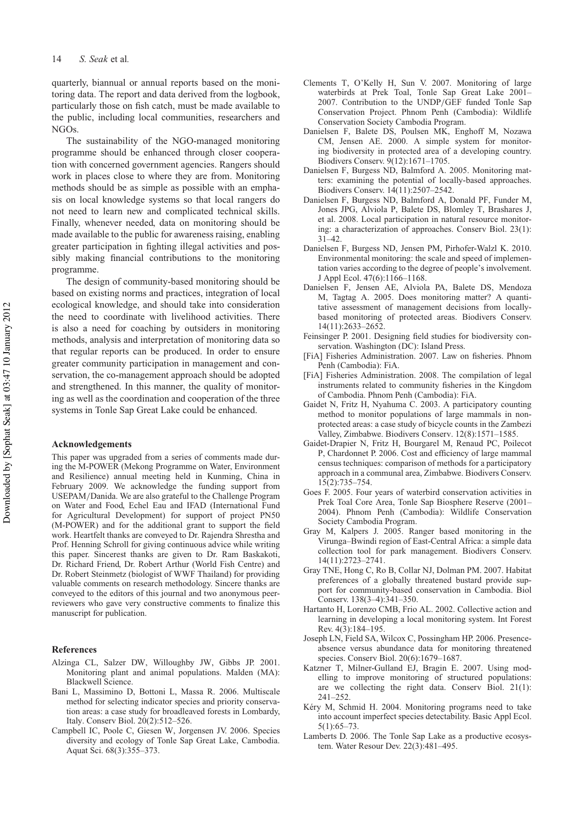quarterly, biannual or annual reports based on the monitoring data. The report and data derived from the logbook, particularly those on fish catch, must be made available to the public, including local communities, researchers and NGOs.

The sustainability of the NGO-managed monitoring programme should be enhanced through closer cooperation with concerned government agencies. Rangers should work in places close to where they are from. Monitoring methods should be as simple as possible with an emphasis on local knowledge systems so that local rangers do not need to learn new and complicated technical skills. Finally, whenever needed, data on monitoring should be made available to the public for awareness raising, enabling greater participation in fighting illegal activities and possibly making financial contributions to the monitoring programme.

The design of community-based monitoring should be based on existing norms and practices, integration of local ecological knowledge, and should take into consideration the need to coordinate with livelihood activities. There is also a need for coaching by outsiders in monitoring methods, analysis and interpretation of monitoring data so that regular reports can be produced. In order to ensure greater community participation in management and conservation, the co-management approach should be adopted and strengthened. In this manner, the quality of monitoring as well as the coordination and cooperation of the three systems in Tonle Sap Great Lake could be enhanced.

## **Acknowledgements**

This paper was upgraded from a series of comments made during the M-POWER (Mekong Programme on Water, Environment and Resilience) annual meeting held in Kunming, China in February 2009. We acknowledge the funding support from USEPAM/Danida. We are also grateful to the Challenge Program on Water and Food, Echel Eau and IFAD (International Fund for Agricultural Development) for support of project PN50 (M-POWER) and for the additional grant to support the field work. Heartfelt thanks are conveyed to Dr. Rajendra Shrestha and Prof. Henning Schroll for giving continuous advice while writing this paper. Sincerest thanks are given to Dr. Ram Baskakoti, Dr. Richard Friend, Dr. Robert Arthur (World Fish Centre) and Dr. Robert Steinmetz (biologist of WWF Thailand) for providing valuable comments on research methodology. Sincere thanks are conveyed to the editors of this journal and two anonymous peerreviewers who gave very constructive comments to finalize this manuscript for publication.

### **References**

- Alzinga CL, Salzer DW, Willoughby JW, Gibbs JP. 2001. Monitoring plant and animal populations. Malden (MA): Blackwell Science.
- Bani L, Massimino D, Bottoni L, Massa R. 2006. Multiscale method for selecting indicator species and priority conservation areas: a case study for broadleaved forests in Lombardy, Italy. Conserv Biol. 20(2):512–526.
- Campbell IC, Poole C, Giesen W, Jorgensen JV. 2006. Species diversity and ecology of Tonle Sap Great Lake, Cambodia. Aquat Sci. 68(3):355–373.
- Clements T, O'Kelly H, Sun V. 2007. Monitoring of large waterbirds at Prek Toal, Tonle Sap Great Lake 2001– 2007. Contribution to the UNDP/GEF funded Tonle Sap Conservation Project. Phnom Penh (Cambodia): Wildlife Conservation Society Cambodia Program.
- Danielsen F, Balete DS, Poulsen MK, Enghoff M, Nozawa CM, Jensen AE. 2000. A simple system for monitoring biodiversity in protected area of a developing country. Biodivers Conserv. 9(12):1671–1705.
- Danielsen F, Burgess ND, Balmford A. 2005. Monitoring matters: examining the potential of locally-based approaches. Biodivers Conserv. 14(11):2507–2542.
- Danielsen F, Burgess ND, Balmford A, Donald PF, Funder M, Jones JPG, Alviola P, Balete DS, Blomley T, Brashares J, et al. 2008. Local participation in natural resource monitoring: a characterization of approaches. Conserv Biol. 23(1): 31–42.
- Danielsen F, Burgess ND, Jensen PM, Pirhofer-Walzl K. 2010. Environmental monitoring: the scale and speed of implementation varies according to the degree of people's involvement. J Appl Ecol. 47(6):1166–1168.
- Danielsen F, Jensen AE, Alviola PA, Balete DS, Mendoza M, Tagtag A. 2005. Does monitoring matter? A quantitative assessment of management decisions from locallybased monitoring of protected areas. Biodivers Conserv. 14(11):2633–2652.
- Feinsinger P. 2001. Designing field studies for biodiversity conservation. Washington (DC): Island Press.
- [FiA] Fisheries Administration. 2007. Law on fisheries. Phnom Penh (Cambodia): FiA.
- [FiA] Fisheries Administration. 2008. The compilation of legal instruments related to community fisheries in the Kingdom of Cambodia. Phnom Penh (Cambodia): FiA.
- Gaidet N, Fritz H, Nyahuma C. 2003. A participatory counting method to monitor populations of large mammals in nonprotected areas: a case study of bicycle counts in the Zambezi Valley, Zimbabwe. Biodivers Conserv. 12(8):1571–1585.
- Gaidet-Drapier N, Fritz H, Bourgarel M, Renaud PC, Poilecot P, Chardonnet P. 2006. Cost and efficiency of large mammal census techniques: comparison of methods for a participatory approach in a communal area, Zimbabwe. Biodivers Conserv. 15(2):735–754.
- Goes F. 2005. Four years of waterbird conservation activities in Prek Toal Core Area, Tonle Sap Biosphere Reserve (2001– 2004). Phnom Penh (Cambodia): Wildlife Conservation Society Cambodia Program.
- Gray M, Kalpers J. 2005. Ranger based monitoring in the Virunga–Bwindi region of East-Central Africa: a simple data collection tool for park management. Biodivers Conserv. 14(11):2723–2741.
- Gray TNE, Hong C, Ro B, Collar NJ, Dolman PM. 2007. Habitat preferences of a globally threatened bustard provide support for community-based conservation in Cambodia. Biol Conserv. 138(3–4):341–350.
- Hartanto H, Lorenzo CMB, Frio AL. 2002. Collective action and learning in developing a local monitoring system. Int Forest Rev. 4(3):184–195.
- Joseph LN, Field SA, Wilcox C, Possingham HP. 2006. Presenceabsence versus abundance data for monitoring threatened species. Conserv Biol. 20(6):1679–1687.
- Katzner T, Milner-Gulland EJ, Bragin E. 2007. Using modelling to improve monitoring of structured populations: are we collecting the right data. Conserv Biol. 21(1): 241–252.
- Kéry M, Schmid H. 2004. Monitoring programs need to take into account imperfect species detectability. Basic Appl Ecol. 5(1):65–73.
- Lamberts D. 2006. The Tonle Sap Lake as a productive ecosystem. Water Resour Dev. 22(3):481–495.